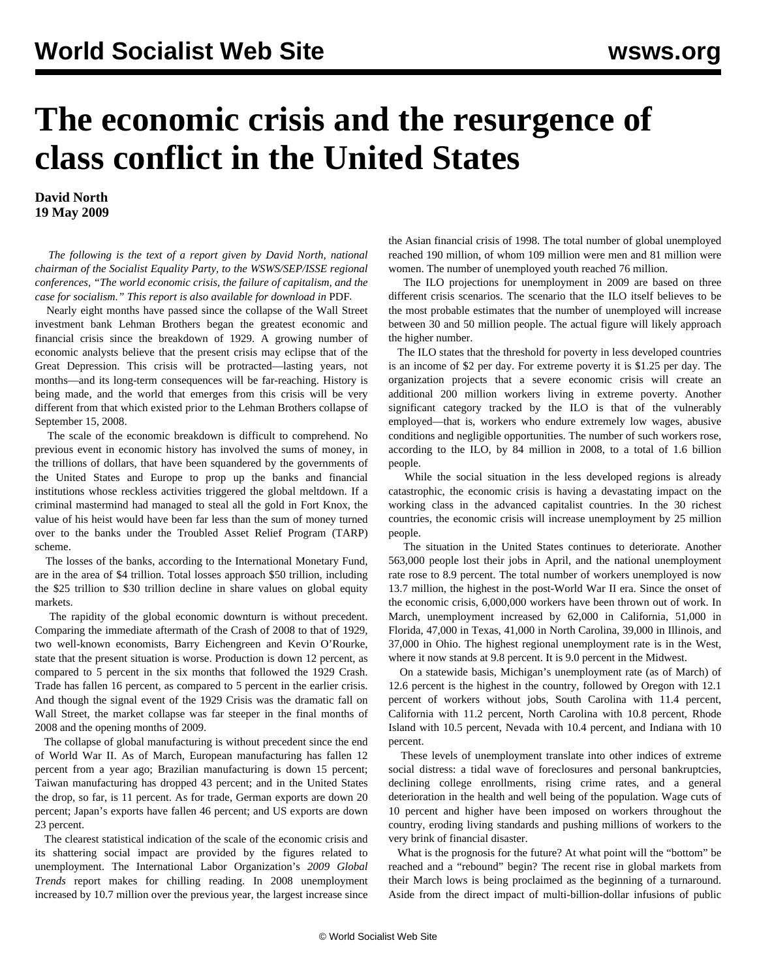## **The economic crisis and the resurgence of class conflict in the United States**

**David North 19 May 2009**

 *The following is the text of a report given by David North, national chairman of the Socialist Equality Party, to the WSWS/SEP/ISSE regional conferences, "The world economic crisis, the failure of capitalism, and the case for socialism." This report is also available for download in* PDF*.*

 Nearly eight months have passed since the collapse of the Wall Street investment bank Lehman Brothers began the greatest economic and financial crisis since the breakdown of 1929. A growing number of economic analysts believe that the present crisis may eclipse that of the Great Depression. This crisis will be protracted—lasting years, not months—and its long-term consequences will be far-reaching. History is being made, and the world that emerges from this crisis will be very different from that which existed prior to the Lehman Brothers collapse of September 15, 2008.

 The scale of the economic breakdown is difficult to comprehend. No previous event in economic history has involved the sums of money, in the trillions of dollars, that have been squandered by the governments of the United States and Europe to prop up the banks and financial institutions whose reckless activities triggered the global meltdown. If a criminal mastermind had managed to steal all the gold in Fort Knox, the value of his heist would have been far less than the sum of money turned over to the banks under the Troubled Asset Relief Program (TARP) scheme.

 The losses of the banks, according to the International Monetary Fund, are in the area of \$4 trillion. Total losses approach \$50 trillion, including the \$25 trillion to \$30 trillion decline in share values on global equity markets.

 The rapidity of the global economic downturn is without precedent. Comparing the immediate aftermath of the Crash of 2008 to that of 1929, two well-known economists, Barry Eichengreen and Kevin O'Rourke, state that the present situation is worse. Production is down 12 percent, as compared to 5 percent in the six months that followed the 1929 Crash. Trade has fallen 16 percent, as compared to 5 percent in the earlier crisis. And though the signal event of the 1929 Crisis was the dramatic fall on Wall Street, the market collapse was far steeper in the final months of 2008 and the opening months of 2009.

 The collapse of global manufacturing is without precedent since the end of World War II. As of March, European manufacturing has fallen 12 percent from a year ago; Brazilian manufacturing is down 15 percent; Taiwan manufacturing has dropped 43 percent; and in the United States the drop, so far, is 11 percent. As for trade, German exports are down 20 percent; Japan's exports have fallen 46 percent; and US exports are down 23 percent.

 The clearest statistical indication of the scale of the economic crisis and its shattering social impact are provided by the figures related to unemployment. The International Labor Organization's *2009 Global Trends* report makes for chilling reading. In 2008 unemployment increased by 10.7 million over the previous year, the largest increase since the Asian financial crisis of 1998. The total number of global unemployed reached 190 million, of whom 109 million were men and 81 million were women. The number of unemployed youth reached 76 million.

 The ILO projections for unemployment in 2009 are based on three different crisis scenarios. The scenario that the ILO itself believes to be the most probable estimates that the number of unemployed will increase between 30 and 50 million people. The actual figure will likely approach the higher number.

 The ILO states that the threshold for poverty in less developed countries is an income of \$2 per day. For extreme poverty it is \$1.25 per day. The organization projects that a severe economic crisis will create an additional 200 million workers living in extreme poverty. Another significant category tracked by the ILO is that of the vulnerably employed—that is, workers who endure extremely low wages, abusive conditions and negligible opportunities. The number of such workers rose, according to the ILO, by 84 million in 2008, to a total of 1.6 billion people.

 While the social situation in the less developed regions is already catastrophic, the economic crisis is having a devastating impact on the working class in the advanced capitalist countries. In the 30 richest countries, the economic crisis will increase unemployment by 25 million people.

 The situation in the United States continues to deteriorate. Another 563,000 people lost their jobs in April, and the national unemployment rate rose to 8.9 percent. The total number of workers unemployed is now 13.7 million, the highest in the post-World War II era. Since the onset of the economic crisis, 6,000,000 workers have been thrown out of work. In March, unemployment increased by 62,000 in California, 51,000 in Florida, 47,000 in Texas, 41,000 in North Carolina, 39,000 in Illinois, and 37,000 in Ohio. The highest regional unemployment rate is in the West, where it now stands at 9.8 percent. It is 9.0 percent in the Midwest.

 On a statewide basis, Michigan's unemployment rate (as of March) of 12.6 percent is the highest in the country, followed by Oregon with 12.1 percent of workers without jobs, South Carolina with 11.4 percent, California with 11.2 percent, North Carolina with 10.8 percent, Rhode Island with 10.5 percent, Nevada with 10.4 percent, and Indiana with 10 percent.

 These levels of unemployment translate into other indices of extreme social distress: a tidal wave of foreclosures and personal bankruptcies, declining college enrollments, rising crime rates, and a general deterioration in the health and well being of the population. Wage cuts of 10 percent and higher have been imposed on workers throughout the country, eroding living standards and pushing millions of workers to the very brink of financial disaster.

 What is the prognosis for the future? At what point will the "bottom" be reached and a "rebound" begin? The recent rise in global markets from their March lows is being proclaimed as the beginning of a turnaround. Aside from the direct impact of multi-billion-dollar infusions of public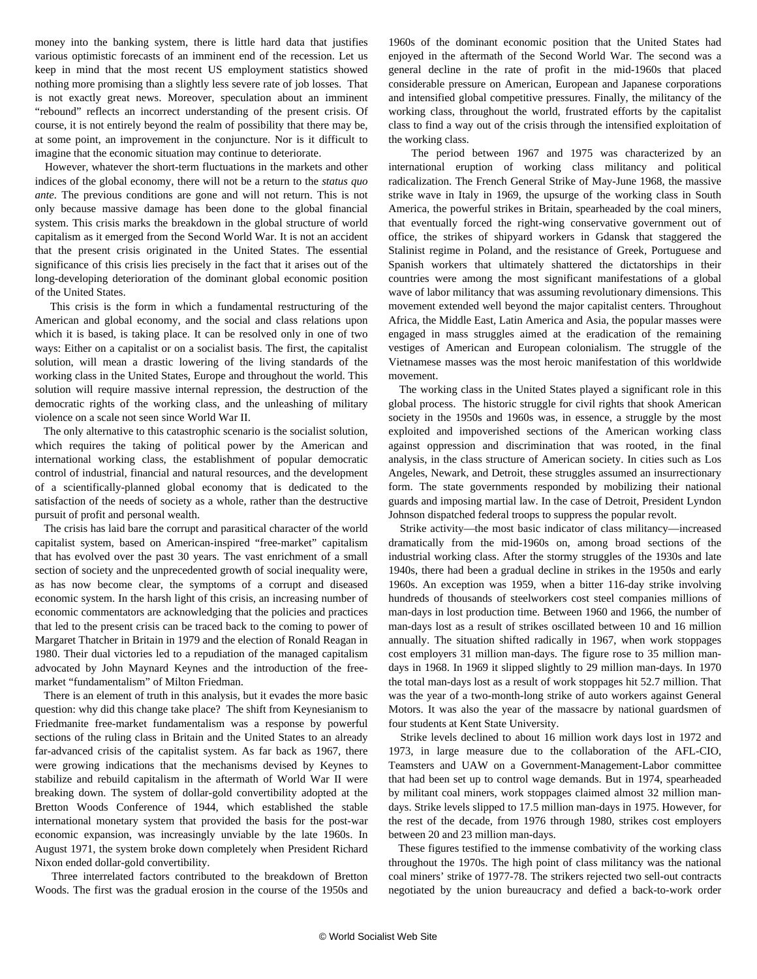money into the banking system, there is little hard data that justifies various optimistic forecasts of an imminent end of the recession. Let us keep in mind that the most recent US employment statistics showed nothing more promising than a slightly less severe rate of job losses. That is not exactly great news. Moreover, speculation about an imminent "rebound" reflects an incorrect understanding of the present crisis. Of course, it is not entirely beyond the realm of possibility that there may be, at some point, an improvement in the conjuncture. Nor is it difficult to imagine that the economic situation may continue to deteriorate.

 However, whatever the short-term fluctuations in the markets and other indices of the global economy, there will not be a return to the *status quo ante.* The previous conditions are gone and will not return. This is not only because massive damage has been done to the global financial system. This crisis marks the breakdown in the global structure of world capitalism as it emerged from the Second World War. It is not an accident that the present crisis originated in the United States. The essential significance of this crisis lies precisely in the fact that it arises out of the long-developing deterioration of the dominant global economic position of the United States.

 This crisis is the form in which a fundamental restructuring of the American and global economy, and the social and class relations upon which it is based, is taking place. It can be resolved only in one of two ways: Either on a capitalist or on a socialist basis. The first, the capitalist solution, will mean a drastic lowering of the living standards of the working class in the United States, Europe and throughout the world. This solution will require massive internal repression, the destruction of the democratic rights of the working class, and the unleashing of military violence on a scale not seen since World War II.

 The only alternative to this catastrophic scenario is the socialist solution, which requires the taking of political power by the American and international working class, the establishment of popular democratic control of industrial, financial and natural resources, and the development of a scientifically-planned global economy that is dedicated to the satisfaction of the needs of society as a whole, rather than the destructive pursuit of profit and personal wealth.

 The crisis has laid bare the corrupt and parasitical character of the world capitalist system, based on American-inspired "free-market" capitalism that has evolved over the past 30 years. The vast enrichment of a small section of society and the unprecedented growth of social inequality were, as has now become clear, the symptoms of a corrupt and diseased economic system. In the harsh light of this crisis, an increasing number of economic commentators are acknowledging that the policies and practices that led to the present crisis can be traced back to the coming to power of Margaret Thatcher in Britain in 1979 and the election of Ronald Reagan in 1980. Their dual victories led to a repudiation of the managed capitalism advocated by John Maynard Keynes and the introduction of the freemarket "fundamentalism" of Milton Friedman.

 There is an element of truth in this analysis, but it evades the more basic question: why did this change take place? The shift from Keynesianism to Friedmanite free-market fundamentalism was a response by powerful sections of the ruling class in Britain and the United States to an already far-advanced crisis of the capitalist system. As far back as 1967, there were growing indications that the mechanisms devised by Keynes to stabilize and rebuild capitalism in the aftermath of World War II were breaking down. The system of dollar-gold convertibility adopted at the Bretton Woods Conference of 1944, which established the stable international monetary system that provided the basis for the post-war economic expansion, was increasingly unviable by the late 1960s. In August 1971, the system broke down completely when President Richard Nixon ended dollar-gold convertibility.

 Three interrelated factors contributed to the breakdown of Bretton Woods. The first was the gradual erosion in the course of the 1950s and

1960s of the dominant economic position that the United States had enjoyed in the aftermath of the Second World War. The second was a general decline in the rate of profit in the mid-1960s that placed considerable pressure on American, European and Japanese corporations and intensified global competitive pressures. Finally, the militancy of the working class, throughout the world, frustrated efforts by the capitalist class to find a way out of the crisis through the intensified exploitation of the working class.

 The period between 1967 and 1975 was characterized by an international eruption of working class militancy and political radicalization. The French General Strike of May-June 1968, the massive strike wave in Italy in 1969, the upsurge of the working class in South America, the powerful strikes in Britain, spearheaded by the coal miners, that eventually forced the right-wing conservative government out of office, the strikes of shipyard workers in Gdansk that staggered the Stalinist regime in Poland, and the resistance of Greek, Portuguese and Spanish workers that ultimately shattered the dictatorships in their countries were among the most significant manifestations of a global wave of labor militancy that was assuming revolutionary dimensions. This movement extended well beyond the major capitalist centers. Throughout Africa, the Middle East, Latin America and Asia, the popular masses were engaged in mass struggles aimed at the eradication of the remaining vestiges of American and European colonialism. The struggle of the Vietnamese masses was the most heroic manifestation of this worldwide movement.

 The working class in the United States played a significant role in this global process. The historic struggle for civil rights that shook American society in the 1950s and 1960s was, in essence, a struggle by the most exploited and impoverished sections of the American working class against oppression and discrimination that was rooted, in the final analysis, in the class structure of American society. In cities such as Los Angeles, Newark, and Detroit, these struggles assumed an insurrectionary form. The state governments responded by mobilizing their national guards and imposing martial law. In the case of Detroit, President Lyndon Johnson dispatched federal troops to suppress the popular revolt.

 Strike activity—the most basic indicator of class militancy—increased dramatically from the mid-1960s on, among broad sections of the industrial working class. After the stormy struggles of the 1930s and late 1940s, there had been a gradual decline in strikes in the 1950s and early 1960s. An exception was 1959, when a bitter 116-day strike involving hundreds of thousands of steelworkers cost steel companies millions of man-days in lost production time. Between 1960 and 1966, the number of man-days lost as a result of strikes oscillated between 10 and 16 million annually. The situation shifted radically in 1967, when work stoppages cost employers 31 million man-days. The figure rose to 35 million mandays in 1968. In 1969 it slipped slightly to 29 million man-days. In 1970 the total man-days lost as a result of work stoppages hit 52.7 million. That was the year of a two-month-long strike of auto workers against General Motors. It was also the year of the massacre by national guardsmen of four students at Kent State University.

 Strike levels declined to about 16 million work days lost in 1972 and 1973, in large measure due to the collaboration of the AFL-CIO, Teamsters and UAW on a Government-Management-Labor committee that had been set up to control wage demands. But in 1974, spearheaded by militant coal miners, work stoppages claimed almost 32 million mandays. Strike levels slipped to 17.5 million man-days in 1975. However, for the rest of the decade, from 1976 through 1980, strikes cost employers between 20 and 23 million man-days.

 These figures testified to the immense combativity of the working class throughout the 1970s. The high point of class militancy was the national coal miners' strike of 1977-78. The strikers rejected two sell-out contracts negotiated by the union bureaucracy and defied a back-to-work order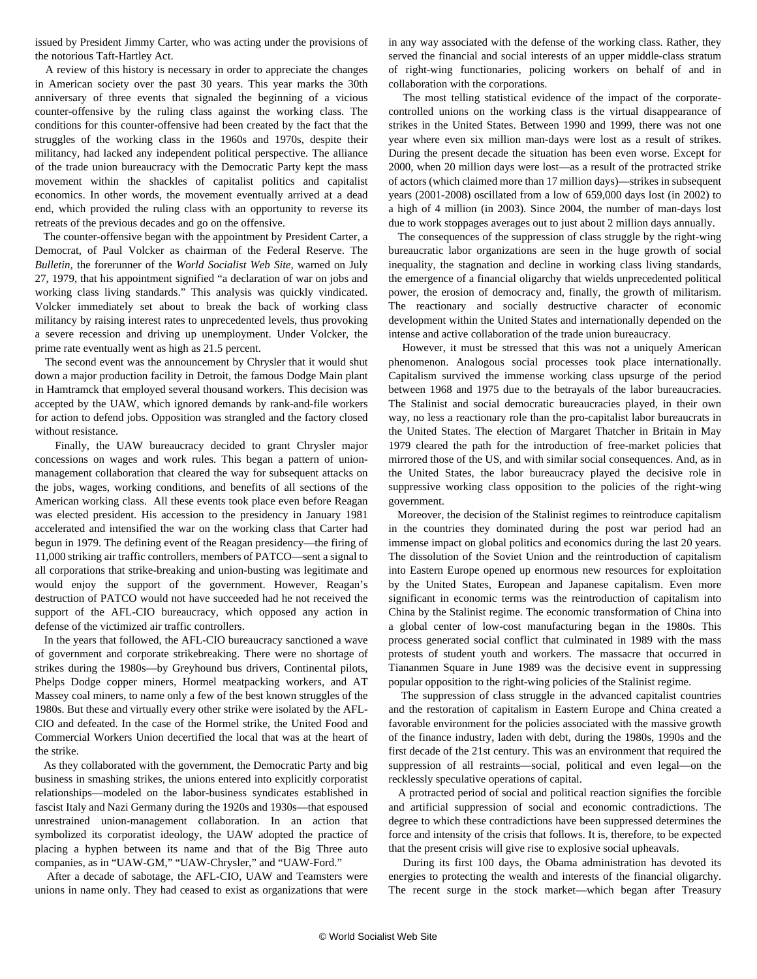issued by President Jimmy Carter, who was acting under the provisions of the notorious Taft-Hartley Act.

 A review of this history is necessary in order to appreciate the changes in American society over the past 30 years. This year marks the 30th anniversary of three events that signaled the beginning of a vicious counter-offensive by the ruling class against the working class. The conditions for this counter-offensive had been created by the fact that the struggles of the working class in the 1960s and 1970s, despite their militancy, had lacked any independent political perspective. The alliance of the trade union bureaucracy with the Democratic Party kept the mass movement within the shackles of capitalist politics and capitalist economics. In other words, the movement eventually arrived at a dead end, which provided the ruling class with an opportunity to reverse its retreats of the previous decades and go on the offensive.

 The counter-offensive began with the appointment by President Carter, a Democrat, of Paul Volcker as chairman of the Federal Reserve. The *Bulletin*, the forerunner of the *World Socialist Web Site*, warned on July 27, 1979, that his appointment signified "a declaration of war on jobs and working class living standards." This analysis was quickly vindicated. Volcker immediately set about to break the back of working class militancy by raising interest rates to unprecedented levels, thus provoking a severe recession and driving up unemployment. Under Volcker, the prime rate eventually went as high as 21.5 percent.

 The second event was the announcement by Chrysler that it would shut down a major production facility in Detroit, the famous Dodge Main plant in Hamtramck that employed several thousand workers. This decision was accepted by the UAW, which ignored demands by rank-and-file workers for action to defend jobs. Opposition was strangled and the factory closed without resistance.

 Finally, the UAW bureaucracy decided to grant Chrysler major concessions on wages and work rules. This began a pattern of unionmanagement collaboration that cleared the way for subsequent attacks on the jobs, wages, working conditions, and benefits of all sections of the American working class. All these events took place even before Reagan was elected president. His accession to the presidency in January 1981 accelerated and intensified the war on the working class that Carter had begun in 1979. The defining event of the Reagan presidency—the firing of 11,000 striking air traffic controllers, members of PATCO—sent a signal to all corporations that strike-breaking and union-busting was legitimate and would enjoy the support of the government. However, Reagan's destruction of PATCO would not have succeeded had he not received the support of the AFL-CIO bureaucracy, which opposed any action in defense of the victimized air traffic controllers.

 In the years that followed, the AFL-CIO bureaucracy sanctioned a wave of government and corporate strikebreaking. There were no shortage of strikes during the 1980s—by Greyhound bus drivers, Continental pilots, Phelps Dodge copper miners, Hormel meatpacking workers, and AT Massey coal miners, to name only a few of the best known struggles of the 1980s. But these and virtually every other strike were isolated by the AFL-CIO and defeated. In the case of the Hormel strike, the United Food and Commercial Workers Union decertified the local that was at the heart of the strike.

 As they collaborated with the government, the Democratic Party and big business in smashing strikes, the unions entered into explicitly corporatist relationships—modeled on the labor-business syndicates established in fascist Italy and Nazi Germany during the 1920s and 1930s—that espoused unrestrained union-management collaboration. In an action that symbolized its corporatist ideology, the UAW adopted the practice of placing a hyphen between its name and that of the Big Three auto companies, as in "UAW-GM," "UAW-Chrysler," and "UAW-Ford."

 After a decade of sabotage, the AFL-CIO, UAW and Teamsters were unions in name only. They had ceased to exist as organizations that were in any way associated with the defense of the working class. Rather, they served the financial and social interests of an upper middle-class stratum of right-wing functionaries, policing workers on behalf of and in collaboration with the corporations.

 The most telling statistical evidence of the impact of the corporatecontrolled unions on the working class is the virtual disappearance of strikes in the United States. Between 1990 and 1999, there was not one year where even six million man-days were lost as a result of strikes. During the present decade the situation has been even worse. Except for 2000, when 20 million days were lost—as a result of the protracted strike of actors (which claimed more than 17 million days)—strikes in subsequent years (2001-2008) oscillated from a low of 659,000 days lost (in 2002) to a high of 4 million (in 2003). Since 2004, the number of man-days lost due to work stoppages averages out to just about 2 million days annually.

 The consequences of the suppression of class struggle by the right-wing bureaucratic labor organizations are seen in the huge growth of social inequality, the stagnation and decline in working class living standards, the emergence of a financial oligarchy that wields unprecedented political power, the erosion of democracy and, finally, the growth of militarism. The reactionary and socially destructive character of economic development within the United States and internationally depended on the intense and active collaboration of the trade union bureaucracy.

 However, it must be stressed that this was not a uniquely American phenomenon. Analogous social processes took place internationally. Capitalism survived the immense working class upsurge of the period between 1968 and 1975 due to the betrayals of the labor bureaucracies. The Stalinist and social democratic bureaucracies played, in their own way, no less a reactionary role than the pro-capitalist labor bureaucrats in the United States. The election of Margaret Thatcher in Britain in May 1979 cleared the path for the introduction of free-market policies that mirrored those of the US, and with similar social consequences. And, as in the United States, the labor bureaucracy played the decisive role in suppressive working class opposition to the policies of the right-wing government.

 Moreover, the decision of the Stalinist regimes to reintroduce capitalism in the countries they dominated during the post war period had an immense impact on global politics and economics during the last 20 years. The dissolution of the Soviet Union and the reintroduction of capitalism into Eastern Europe opened up enormous new resources for exploitation by the United States, European and Japanese capitalism. Even more significant in economic terms was the reintroduction of capitalism into China by the Stalinist regime. The economic transformation of China into a global center of low-cost manufacturing began in the 1980s. This process generated social conflict that culminated in 1989 with the mass protests of student youth and workers. The massacre that occurred in Tiananmen Square in June 1989 was the decisive event in suppressing popular opposition to the right-wing policies of the Stalinist regime.

 The suppression of class struggle in the advanced capitalist countries and the restoration of capitalism in Eastern Europe and China created a favorable environment for the policies associated with the massive growth of the finance industry, laden with debt, during the 1980s, 1990s and the first decade of the 21st century. This was an environment that required the suppression of all restraints—social, political and even legal—on the recklessly speculative operations of capital.

 A protracted period of social and political reaction signifies the forcible and artificial suppression of social and economic contradictions. The degree to which these contradictions have been suppressed determines the force and intensity of the crisis that follows. It is, therefore, to be expected that the present crisis will give rise to explosive social upheavals.

 During its first 100 days, the Obama administration has devoted its energies to protecting the wealth and interests of the financial oligarchy. The recent surge in the stock market—which began after Treasury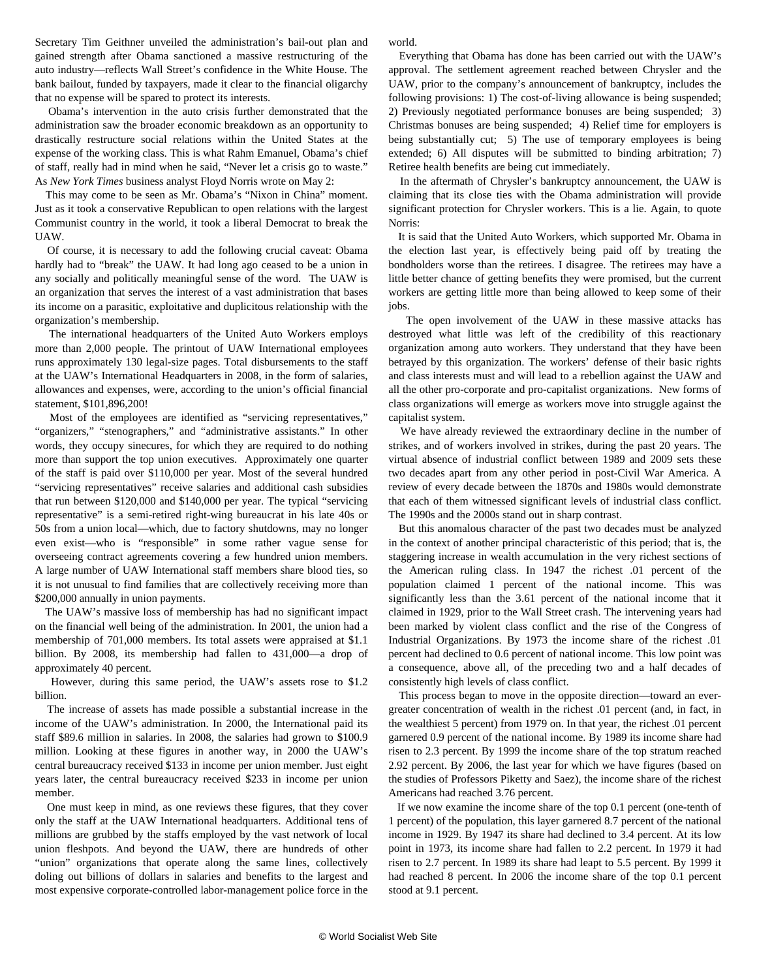Secretary Tim Geithner unveiled the administration's bail-out plan and gained strength after Obama sanctioned a massive restructuring of the auto industry—reflects Wall Street's confidence in the White House. The bank bailout, funded by taxpayers, made it clear to the financial oligarchy that no expense will be spared to protect its interests.

 Obama's intervention in the auto crisis further demonstrated that the administration saw the broader economic breakdown as an opportunity to drastically restructure social relations within the United States at the expense of the working class. This is what Rahm Emanuel, Obama's chief of staff, really had in mind when he said, "Never let a crisis go to waste." As *New York Times* business analyst Floyd Norris wrote on May 2:

 This may come to be seen as Mr. Obama's "Nixon in China" moment. Just as it took a conservative Republican to open relations with the largest Communist country in the world, it took a liberal Democrat to break the UAW.

 Of course, it is necessary to add the following crucial caveat: Obama hardly had to "break" the UAW. It had long ago ceased to be a union in any socially and politically meaningful sense of the word. The UAW is an organization that serves the interest of a vast administration that bases its income on a parasitic, exploitative and duplicitous relationship with the organization's membership.

 The international headquarters of the United Auto Workers employs more than 2,000 people. The printout of UAW International employees runs approximately 130 legal-size pages. Total disbursements to the staff at the UAW's International Headquarters in 2008, in the form of salaries, allowances and expenses, were, according to the union's official financial statement, \$101,896,200!

 Most of the employees are identified as "servicing representatives," "organizers," "stenographers," and "administrative assistants." In other words, they occupy sinecures, for which they are required to do nothing more than support the top union executives. Approximately one quarter of the staff is paid over \$110,000 per year. Most of the several hundred "servicing representatives" receive salaries and additional cash subsidies that run between \$120,000 and \$140,000 per year. The typical "servicing representative" is a semi-retired right-wing bureaucrat in his late 40s or 50s from a union local—which, due to factory shutdowns, may no longer even exist—who is "responsible" in some rather vague sense for overseeing contract agreements covering a few hundred union members. A large number of UAW International staff members share blood ties, so it is not unusual to find families that are collectively receiving more than \$200,000 annually in union payments.

 The UAW's massive loss of membership has had no significant impact on the financial well being of the administration. In 2001, the union had a membership of 701,000 members. Its total assets were appraised at \$1.1 billion. By 2008, its membership had fallen to 431,000—a drop of approximately 40 percent.

 However, during this same period, the UAW's assets rose to \$1.2 billion.

 The increase of assets has made possible a substantial increase in the income of the UAW's administration. In 2000, the International paid its staff \$89.6 million in salaries. In 2008, the salaries had grown to \$100.9 million. Looking at these figures in another way, in 2000 the UAW's central bureaucracy received \$133 in income per union member. Just eight years later, the central bureaucracy received \$233 in income per union member.

 One must keep in mind, as one reviews these figures, that they cover only the staff at the UAW International headquarters. Additional tens of millions are grubbed by the staffs employed by the vast network of local union fleshpots. And beyond the UAW, there are hundreds of other "union" organizations that operate along the same lines, collectively doling out billions of dollars in salaries and benefits to the largest and most expensive corporate-controlled labor-management police force in the

world.

 Everything that Obama has done has been carried out with the UAW's approval. The settlement agreement reached between Chrysler and the UAW, prior to the company's announcement of bankruptcy, includes the following provisions: 1) The cost-of-living allowance is being suspended; 2) Previously negotiated performance bonuses are being suspended; 3) Christmas bonuses are being suspended; 4) Relief time for employers is being substantially cut; 5) The use of temporary employees is being extended; 6) All disputes will be submitted to binding arbitration; 7) Retiree health benefits are being cut immediately.

 In the aftermath of Chrysler's bankruptcy announcement, the UAW is claiming that its close ties with the Obama administration will provide significant protection for Chrysler workers. This is a lie. Again, to quote Norris:

 It is said that the United Auto Workers, which supported Mr. Obama in the election last year, is effectively being paid off by treating the bondholders worse than the retirees. I disagree. The retirees may have a little better chance of getting benefits they were promised, but the current workers are getting little more than being allowed to keep some of their jobs.

 The open involvement of the UAW in these massive attacks has destroyed what little was left of the credibility of this reactionary organization among auto workers. They understand that they have been betrayed by this organization. The workers' defense of their basic rights and class interests must and will lead to a rebellion against the UAW and all the other pro-corporate and pro-capitalist organizations. New forms of class organizations will emerge as workers move into struggle against the capitalist system.

 We have already reviewed the extraordinary decline in the number of strikes, and of workers involved in strikes, during the past 20 years. The virtual absence of industrial conflict between 1989 and 2009 sets these two decades apart from any other period in post-Civil War America. A review of every decade between the 1870s and 1980s would demonstrate that each of them witnessed significant levels of industrial class conflict. The 1990s and the 2000s stand out in sharp contrast.

 But this anomalous character of the past two decades must be analyzed in the context of another principal characteristic of this period; that is, the staggering increase in wealth accumulation in the very richest sections of the American ruling class. In 1947 the richest .01 percent of the population claimed 1 percent of the national income. This was significantly less than the 3.61 percent of the national income that it claimed in 1929, prior to the Wall Street crash. The intervening years had been marked by violent class conflict and the rise of the Congress of Industrial Organizations. By 1973 the income share of the richest .01 percent had declined to 0.6 percent of national income. This low point was a consequence, above all, of the preceding two and a half decades of consistently high levels of class conflict.

 This process began to move in the opposite direction—toward an evergreater concentration of wealth in the richest .01 percent (and, in fact, in the wealthiest 5 percent) from 1979 on. In that year, the richest .01 percent garnered 0.9 percent of the national income. By 1989 its income share had risen to 2.3 percent. By 1999 the income share of the top stratum reached 2.92 percent. By 2006, the last year for which we have figures (based on the studies of Professors Piketty and Saez), the income share of the richest Americans had reached 3.76 percent.

 If we now examine the income share of the top 0.1 percent (one-tenth of 1 percent) of the population, this layer garnered 8.7 percent of the national income in 1929. By 1947 its share had declined to 3.4 percent. At its low point in 1973, its income share had fallen to 2.2 percent. In 1979 it had risen to 2.7 percent. In 1989 its share had leapt to 5.5 percent. By 1999 it had reached 8 percent. In 2006 the income share of the top 0.1 percent stood at 9.1 percent.